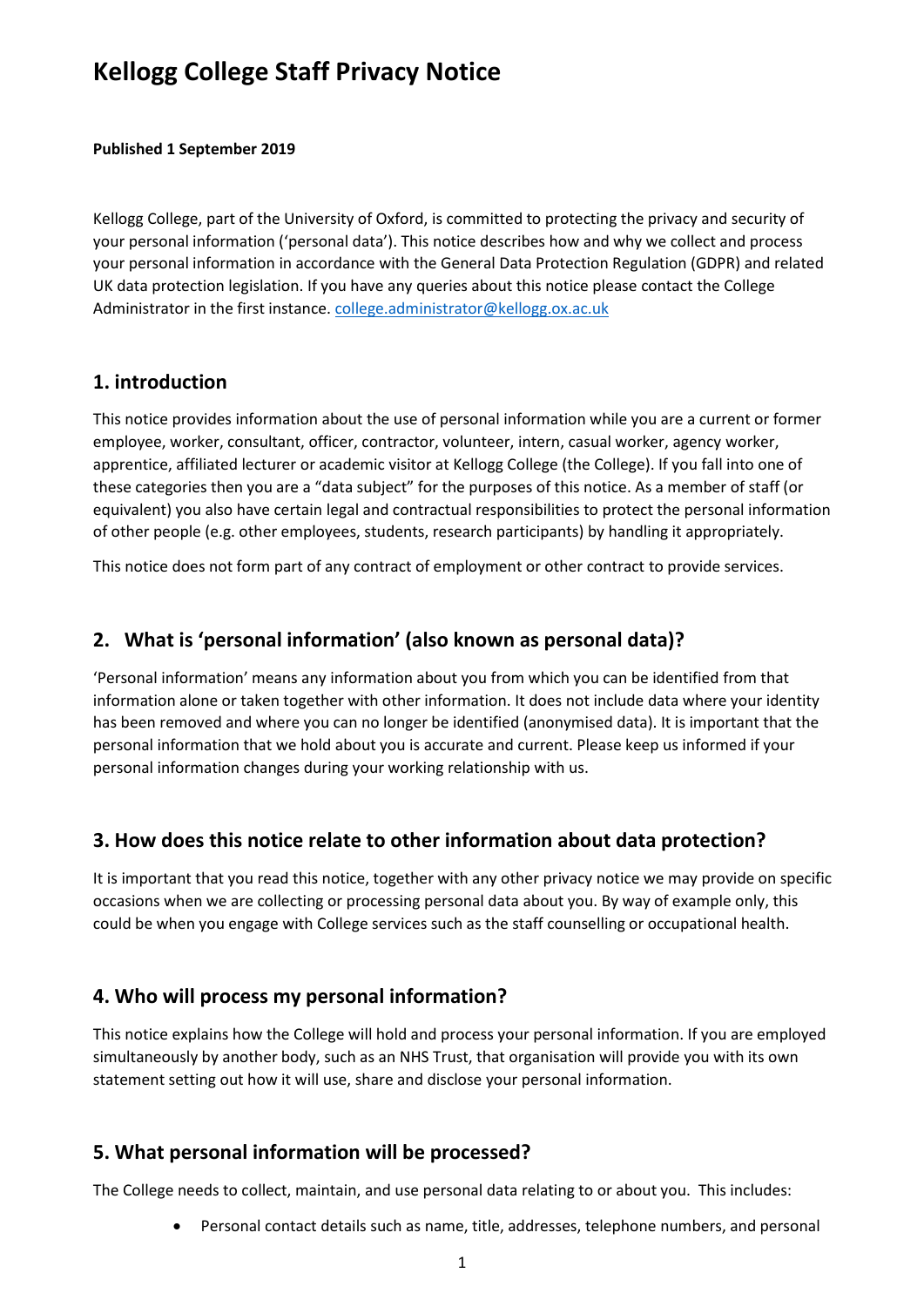# **Kellogg College Staff Privacy Notice**

**Published 1 September 2019**

Kellogg College, part of the University of Oxford, is committed to protecting the privacy and security of your personal information ('personal data'). This notice describes how and why we collect and process your personal information in accordance with the General Data Protection Regulation (GDPR) and related UK data protection legislation. If you have any queries about this notice please contact the College Administrator in the first instance. [college.administrator@kellogg.ox.ac.uk](mailto:college.administrator@kellogg.ox.ac.uk)

#### **1. introduction**

This notice provides information about the use of personal information while you are a current or former employee, worker, consultant, officer, contractor, volunteer, intern, casual worker, agency worker, apprentice, affiliated lecturer or academic visitor at Kellogg College (the College). If you fall into one of these categories then you are a "data subject" for the purposes of this notice. As a member of staff (or equivalent) you also have certain legal and contractual responsibilities to protect the personal information of other people (e.g. other employees, students, research participants) by handling it appropriately.

This notice does not form part of any contract of employment or other contract to provide services.

#### **2. What is 'personal information' (also known as personal data)?**

'Personal information' means any information about you from which you can be identified from that information alone or taken together with other information. It does not include data where your identity has been removed and where you can no longer be identified (anonymised data). It is important that the personal information that we hold about you is accurate and current. Please keep us informed if your personal information changes during your working relationship with us.

## **3. How does this notice relate to other information about data protection?**

It is important that you read this notice, together with any other privacy notice we may provide on specific occasions when we are collecting or processing personal data about you. By way of example only, this could be when you engage with College services such as the staff counselling or occupational health.

## **4. Who will process my personal information?**

This notice explains how the College will hold and process your personal information. If you are employed simultaneously by another body, such as an NHS Trust, that organisation will provide you with its own statement setting out how it will use, share and disclose your personal information.

#### **5. What personal information will be processed?**

The College needs to collect, maintain, and use personal data relating to or about you. This includes:

Personal contact details such as name, title, addresses, telephone numbers, and personal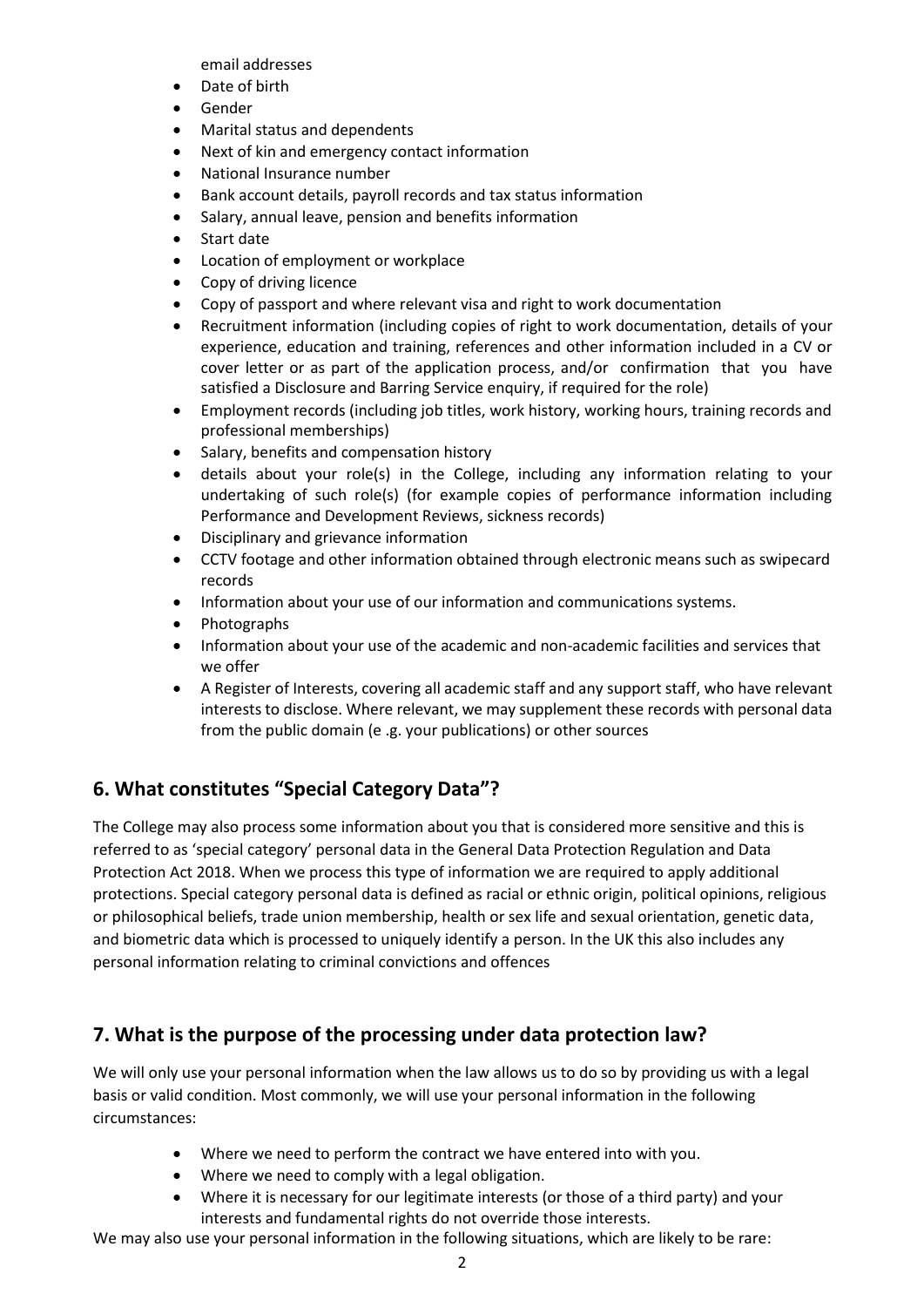email addresses

- Date of birth
- Gender
- Marital status and dependents
- Next of kin and emergency contact information
- National Insurance number
- Bank account details, payroll records and tax status information
- Salary, annual leave, pension and benefits information
- Start date
- Location of employment or workplace
- Copy of driving licence
- Copy of passport and where relevant visa and right to work documentation
- Recruitment information (including copies of right to work documentation, details of your experience, education and training, references and other information included in a CV or cover letter or as part of the application process, and/or confirmation that you have satisfied a Disclosure and Barring Service enquiry, if required for the role)
- Employment records (including job titles, work history, working hours, training records and professional memberships)
- Salary, benefits and compensation history
- details about your role(s) in the College, including any information relating to your undertaking of such role(s) (for example copies of performance information including Performance and Development Reviews, sickness records)
- Disciplinary and grievance information
- CCTV footage and other information obtained through electronic means such as swipecard records
- Information about your use of our information and communications systems.
- Photographs
- Information about your use of the academic and non-academic facilities and services that we offer
- A Register of Interests, covering all academic staff and any support staff, who have relevant interests to disclose. Where relevant, we may supplement these records with personal data from the public domain (e .g. your publications) or other sources

## **6. What constitutes "Special Category Data"?**

The College may also process some information about you that is considered more sensitive and this is referred to as 'special category' personal data in the General Data Protection Regulation and Data Protection Act 2018. When we process this type of information we are required to apply additional protections. Special category personal data is defined as racial or ethnic origin, political opinions, religious or philosophical beliefs, trade union membership, health or sex life and sexual orientation, genetic data, and biometric data which is processed to uniquely identify a person. In the UK this also includes any personal information relating to criminal convictions and offences

#### **7. What is the purpose of the processing under data protection law?**

We will only use your personal information when the law allows us to do so by providing us with a legal basis or valid condition. Most commonly, we will use your personal information in the following circumstances:

- Where we need to perform the contract we have entered into with you.
- Where we need to comply with a legal obligation.
- Where it is necessary for our legitimate interests (or those of a third party) and your interests and fundamental rights do not override those interests.

We may also use your personal information in the following situations, which are likely to be rare: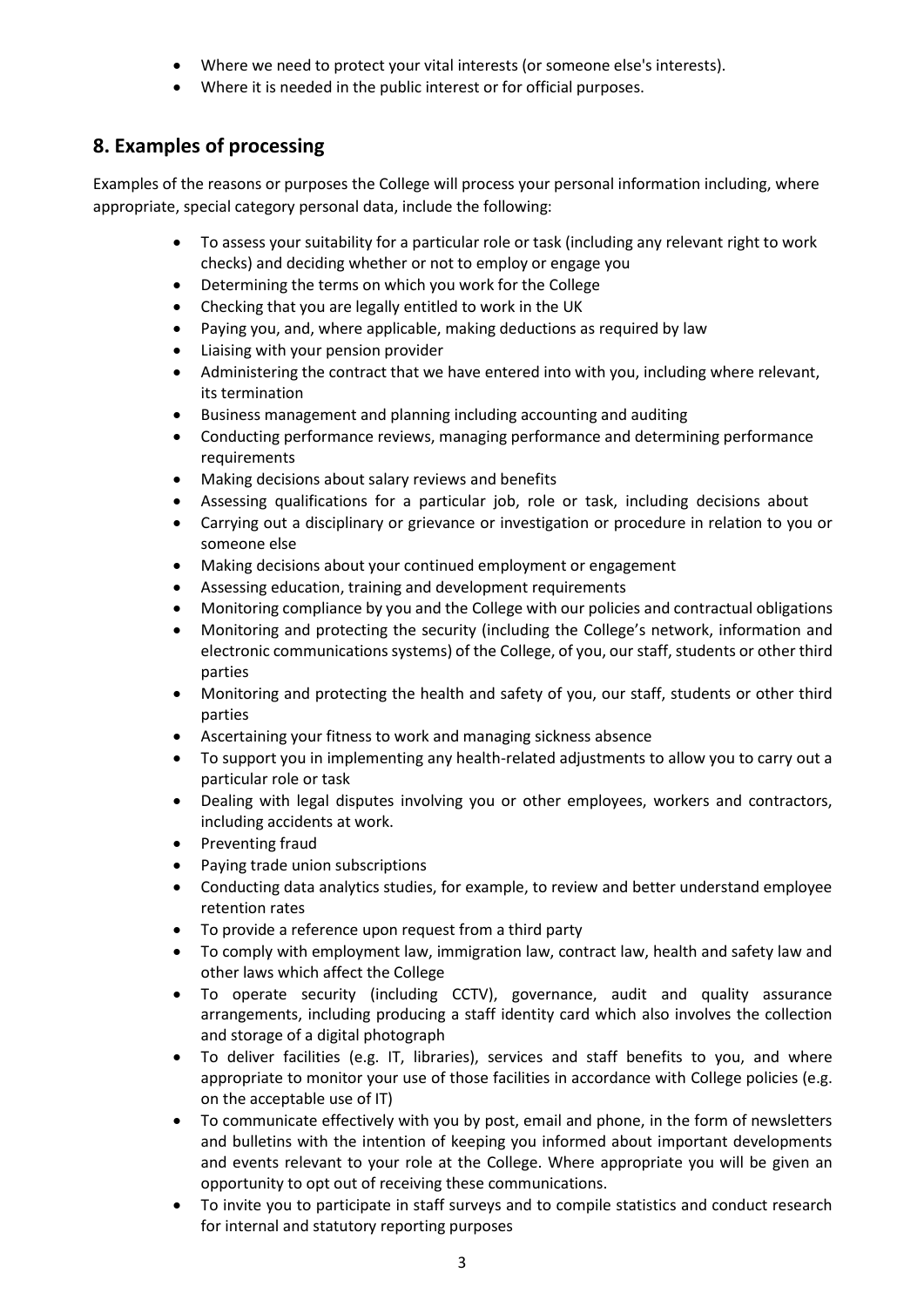- Where we need to protect your vital interests (or someone else's interests).
- Where it is needed in the public interest or for official purposes.

## **8. Examples of processing**

Examples of the reasons or purposes the College will process your personal information including, where appropriate, special category personal data, include the following:

- To assess your suitability for a particular role or task (including any relevant right to work checks) and deciding whether or not to employ or engage you
- Determining the terms on which you work for the College
- Checking that you are legally entitled to work in the UK
- Paying you, and, where applicable, making deductions as required by law
- Liaising with your pension provider
- Administering the contract that we have entered into with you, including where relevant, its termination
- Business management and planning including accounting and auditing
- Conducting performance reviews, managing performance and determining performance requirements
- Making decisions about salary reviews and benefits
- Assessing qualifications for a particular job, role or task, including decisions about
- Carrying out a disciplinary or grievance or investigation or procedure in relation to you or someone else
- Making decisions about your continued employment or engagement
- Assessing education, training and development requirements
- Monitoring compliance by you and the College with our policies and contractual obligations
- Monitoring and protecting the security (including the College's network, information and electronic communications systems) of the College, of you, our staff, students or other third parties
- Monitoring and protecting the health and safety of you, our staff, students or other third parties
- Ascertaining your fitness to work and managing sickness absence
- To support you in implementing any health-related adjustments to allow you to carry out a particular role or task
- Dealing with legal disputes involving you or other employees, workers and contractors, including accidents at work.
- Preventing fraud
- Paying trade union subscriptions
- Conducting data analytics studies, for example, to review and better understand employee retention rates
- To provide a reference upon request from a third party
- To comply with employment law, immigration law, contract law, health and safety law and other laws which affect the College
- To operate security (including CCTV), governance, audit and quality assurance arrangements, including producing a staff identity card which also involves the collection and storage of a digital photograph
- To deliver facilities (e.g. IT, libraries), services and staff benefits to you, and where appropriate to monitor your use of those facilities in accordance with College policies (e.g. on the acceptable use of IT)
- To communicate effectively with you by post, email and phone, in the form of newsletters and bulletins with the intention of keeping you informed about important developments and events relevant to your role at the College. Where appropriate you will be given an opportunity to opt out of receiving these communications.
- To invite you to participate in staff surveys and to compile statistics and conduct research for internal and statutory reporting purposes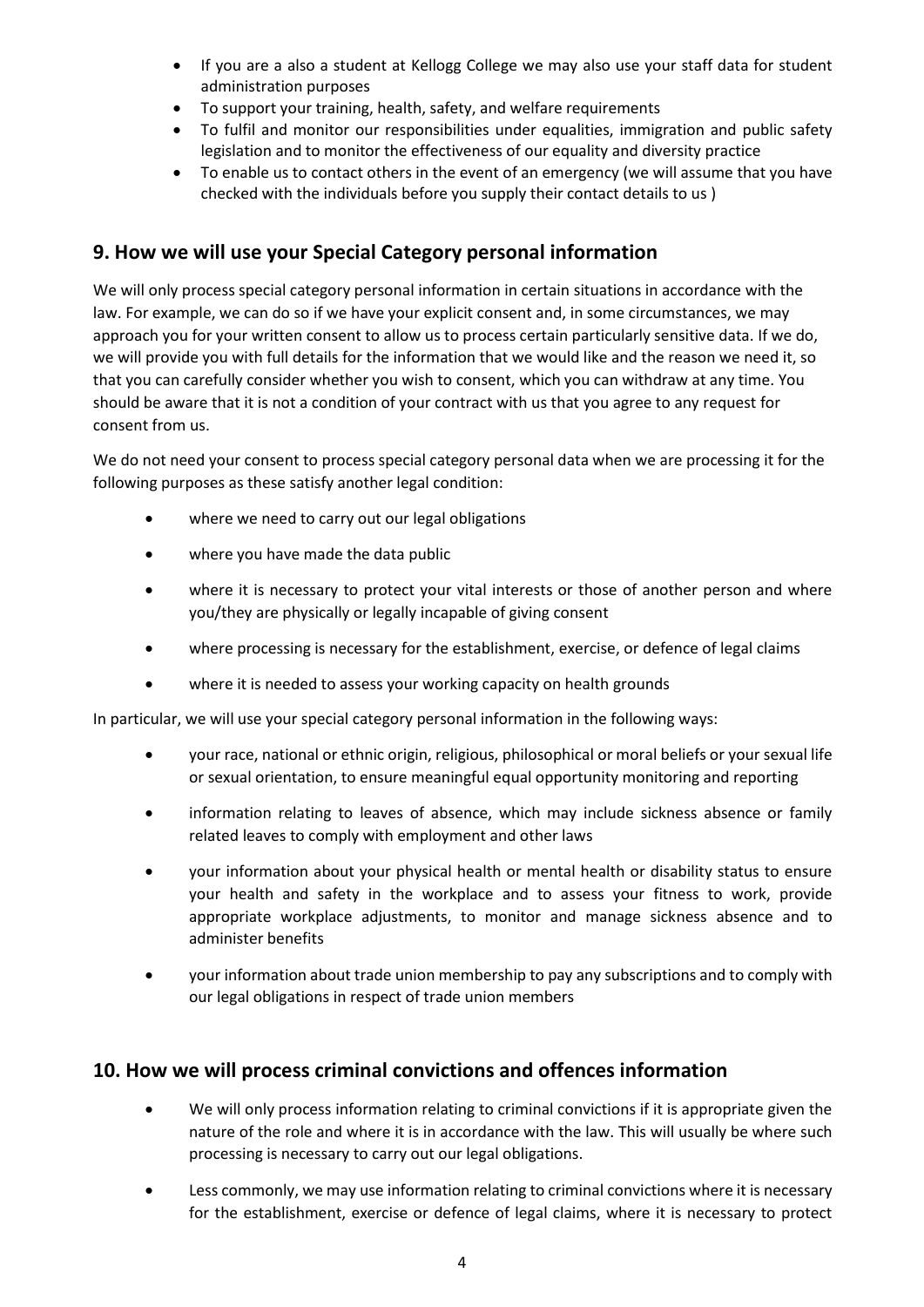- If you are a also a student at Kellogg College we may also use your staff data for student administration purposes
- To support your training, health, safety, and welfare requirements
- To fulfil and monitor our responsibilities under equalities, immigration and public safety legislation and to monitor the effectiveness of our equality and diversity practice
- To enable us to contact others in the event of an emergency (we will assume that you have checked with the individuals before you supply their contact details to us )

# **9. How we will use your Special Category personal information**

We will only process special category personal information in certain situations in accordance with the law. For example, we can do so if we have your explicit consent and, in some circumstances, we may approach you for your written consent to allow us to process certain particularly sensitive data. If we do, we will provide you with full details for the information that we would like and the reason we need it, so that you can carefully consider whether you wish to consent, which you can withdraw at any time. You should be aware that it is not a condition of your contract with us that you agree to any request for consent from us.

We do not need your consent to process special category personal data when we are processing it for the following purposes as these satisfy another legal condition:

- where we need to carry out our legal obligations
- where you have made the data public
- where it is necessary to protect your vital interests or those of another person and where you/they are physically or legally incapable of giving consent
- where processing is necessary for the establishment, exercise, or defence of legal claims
- where it is needed to assess your working capacity on health grounds

In particular, we will use your special category personal information in the following ways:

- your race, national or ethnic origin, religious, philosophical or moral beliefs or your sexual life or sexual orientation, to ensure meaningful equal opportunity monitoring and reporting
- information relating to leaves of absence, which may include sickness absence or family related leaves to comply with employment and other laws
- your information about your physical health or mental health or disability status to ensure your health and safety in the workplace and to assess your fitness to work, provide appropriate workplace adjustments, to monitor and manage sickness absence and to administer benefits
- your information about trade union membership to pay any subscriptions and to comply with our legal obligations in respect of trade union members

## **10. How we will process criminal convictions and offences information**

- We will only process information relating to criminal convictions if it is appropriate given the nature of the role and where it is in accordance with the law. This will usually be where such processing is necessary to carry out our legal obligations.
- Less commonly, we may use information relating to criminal convictions where it is necessary for the establishment, exercise or defence of legal claims, where it is necessary to protect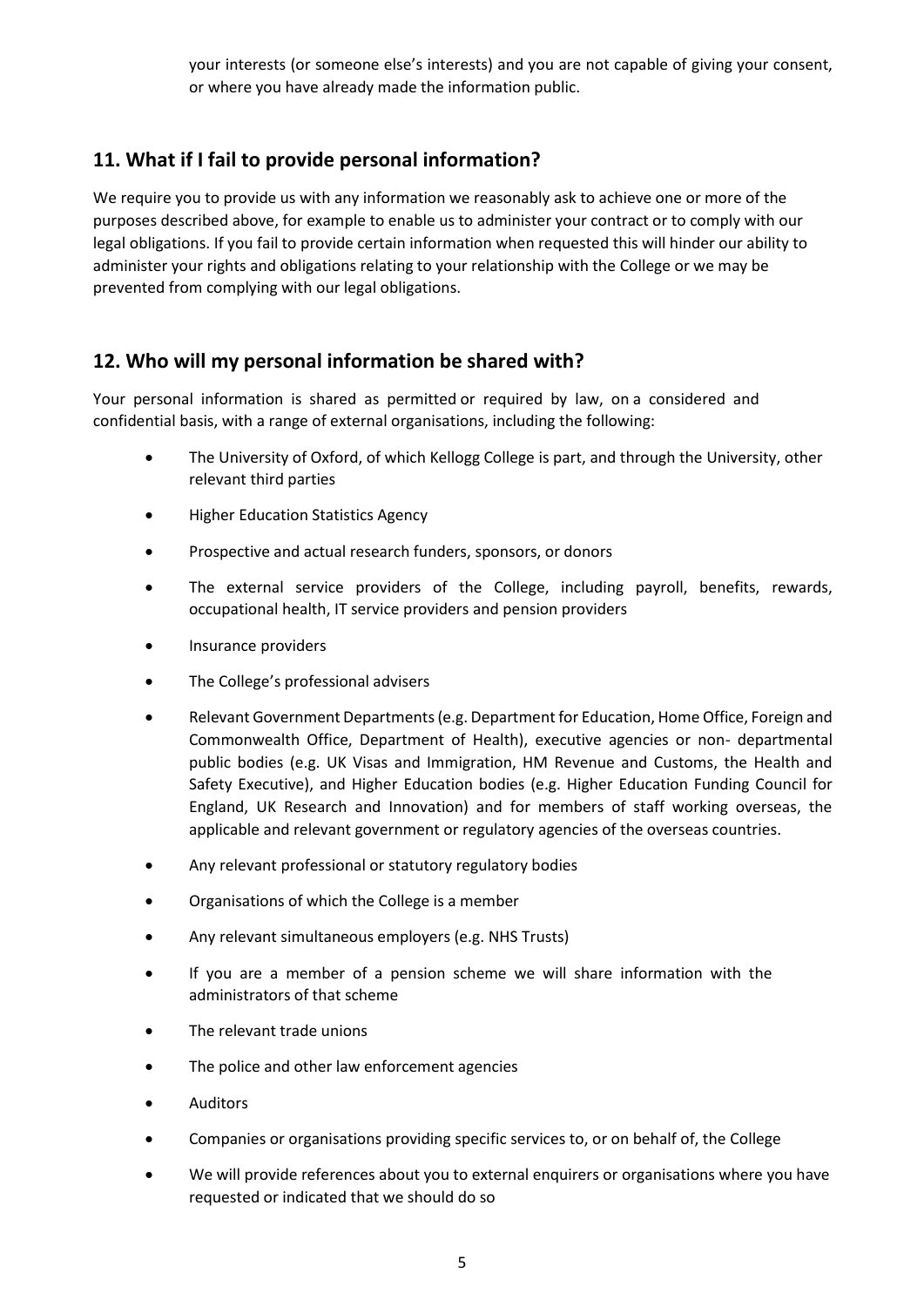your interests (or someone else's interests) and you are not capable of giving your consent, or where you have already made the information public.

## **11. What if I fail to provide personal information?**

We require you to provide us with any information we reasonably ask to achieve one or more of the purposes described above, for example to enable us to administer your contract or to comply with our legal obligations. If you fail to provide certain information when requested this will hinder our ability to administer your rights and obligations relating to your relationship with the College or we may be prevented from complying with our legal obligations.

## **12. Who will my personal information be shared with?**

Your personal information is shared as permitted or required by law, on a considered and confidential basis, with a range of external organisations, including the following:

- The University of Oxford, of which Kellogg College is part, and through the University, other relevant third parties
- **•** Higher Education Statistics Agency
- Prospective and actual research funders, sponsors, or donors
- The external service providers of the College, including payroll, benefits, rewards, occupational health, IT service providers and pension providers
- Insurance providers
- The College's professional advisers
- Relevant Government Departments (e.g. Department for Education, Home Office, Foreign and Commonwealth Office, Department of Health), executive agencies or non- departmental public bodies (e.g. UK Visas and Immigration, HM Revenue and Customs, the Health and Safety Executive), and Higher Education bodies (e.g. Higher Education Funding Council for England, UK Research and Innovation) and for members of staff working overseas, the applicable and relevant government or regulatory agencies of the overseas countries.
- Any relevant professional or statutory regulatory bodies
- Organisations of which the College is a member
- Any relevant simultaneous employers (e.g. NHS Trusts)
- If you are a member of a pension scheme we will share information with the administrators of that scheme
- The relevant trade unions
- The police and other law enforcement agencies
- Auditors
- Companies or organisations providing specific services to, or on behalf of, the College
- We will provide references about you to external enquirers or organisations where you have requested or indicated that we should do so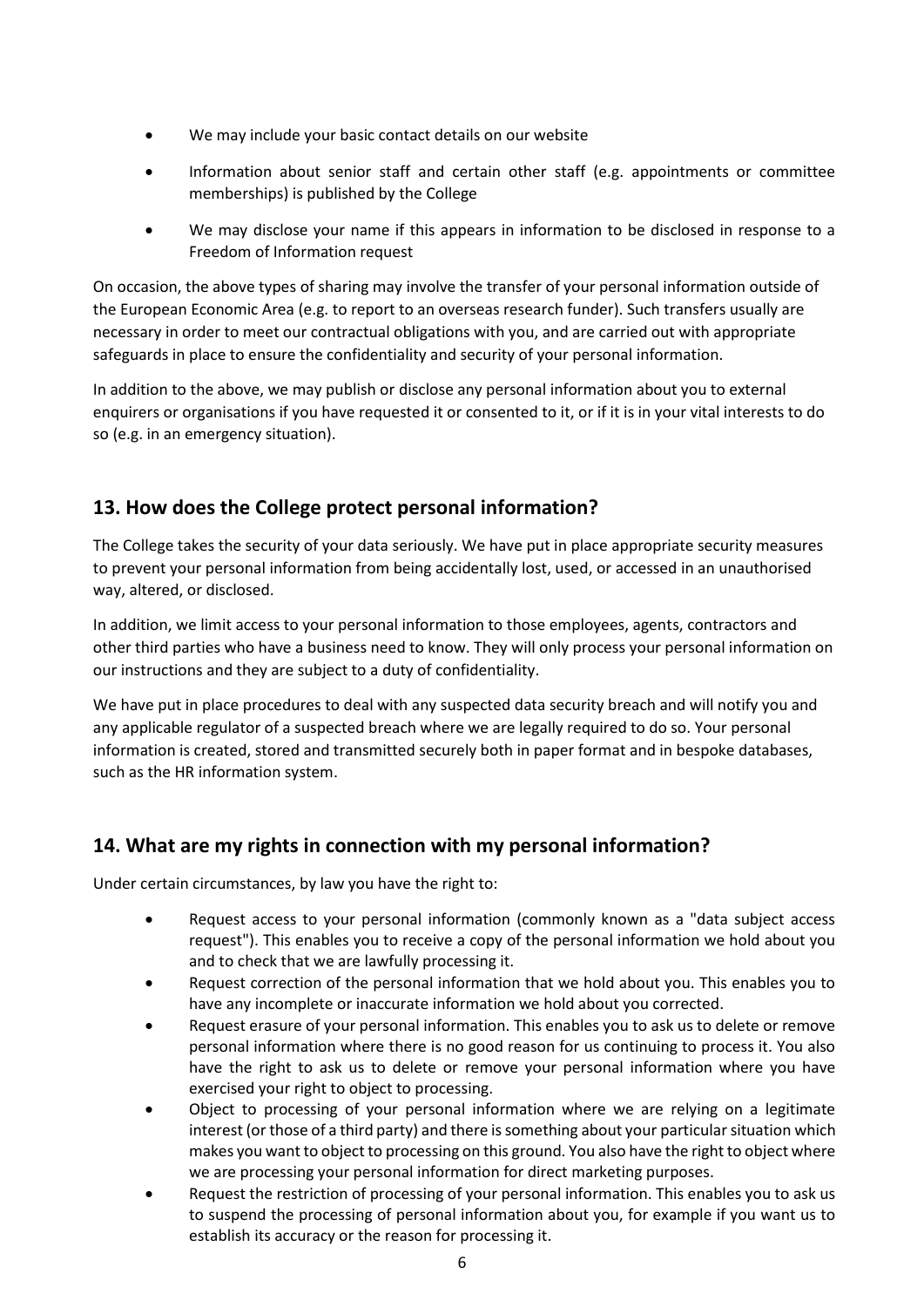- We may include your basic contact details on our website
- Information about senior staff and certain other staff (e.g. appointments or committee memberships) is published by the College
- We may disclose your name if this appears in information to be disclosed in response to a Freedom of Information request

On occasion, the above types of sharing may involve the transfer of your personal information outside of the European Economic Area (e.g. to report to an overseas research funder). Such transfers usually are necessary in order to meet our contractual obligations with you, and are carried out with appropriate safeguards in place to ensure the confidentiality and security of your personal information.

In addition to the above, we may publish or disclose any personal information about you to external enquirers or organisations if you have requested it or consented to it, or if it is in your vital interests to do so (e.g. in an emergency situation).

## **13. How does the College protect personal information?**

The College takes the security of your data seriously. We have put in place appropriate security measures to prevent your personal information from being accidentally lost, used, or accessed in an unauthorised way, altered, or disclosed.

In addition, we limit access to your personal information to those employees, agents, contractors and other third parties who have a business need to know. They will only process your personal information on our instructions and they are subject to a duty of confidentiality.

We have put in place procedures to deal with any suspected data security breach and will notify you and any applicable regulator of a suspected breach where we are legally required to do so. Your personal information is created, stored and transmitted securely both in paper format and in bespoke databases, such as the HR information system.

#### **14. What are my rights in connection with my personal information?**

Under certain circumstances, by law you have the right to:

- Request access to your personal information (commonly known as a "data subject access request"). This enables you to receive a copy of the personal information we hold about you and to check that we are lawfully processing it.
- Request correction of the personal information that we hold about you. This enables you to have any incomplete or inaccurate information we hold about you corrected.
- Request erasure of your personal information. This enables you to ask us to delete or remove personal information where there is no good reason for us continuing to process it. You also have the right to ask us to delete or remove your personal information where you have exercised your right to object to processing.
- Object to processing of your personal information where we are relying on a legitimate interest (or those of a third party) and there is something about your particular situation which makes you want to object to processing on this ground. You also have the right to object where we are processing your personal information for direct marketing purposes.
- Request the restriction of processing of your personal information. This enables you to ask us to suspend the processing of personal information about you, for example if you want us to establish its accuracy or the reason for processing it.